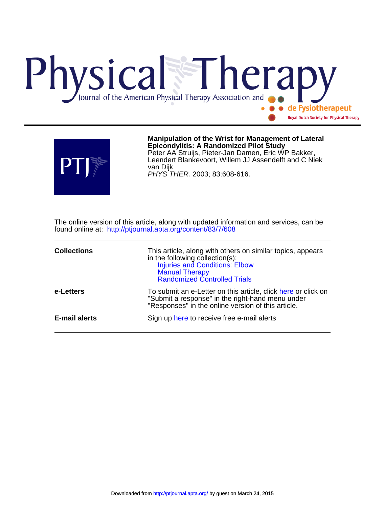



PHYS THER. 2003; 83:608-616. van Dijk Leendert Blankevoort, Willem JJ Assendelft and C Niek Peter AA Struijs, Pieter-Jan Damen, Eric WP Bakker, **Epicondylitis: A Randomized Pilot Study Manipulation of the Wrist for Management of Lateral**

found online at: <http://ptjournal.apta.org/content/83/7/608> The online version of this article, along with updated information and services, can be

| <b>Collections</b>   | This article, along with others on similar topics, appears<br>in the following collection(s):<br><b>Injuries and Conditions: Elbow</b><br><b>Manual Therapy</b><br><b>Randomized Controlled Trials</b> |
|----------------------|--------------------------------------------------------------------------------------------------------------------------------------------------------------------------------------------------------|
| e-Letters            | To submit an e-Letter on this article, click here or click on<br>"Submit a response" in the right-hand menu under<br>"Responses" in the online version of this article.                                |
| <b>E-mail alerts</b> | Sign up here to receive free e-mail alerts                                                                                                                                                             |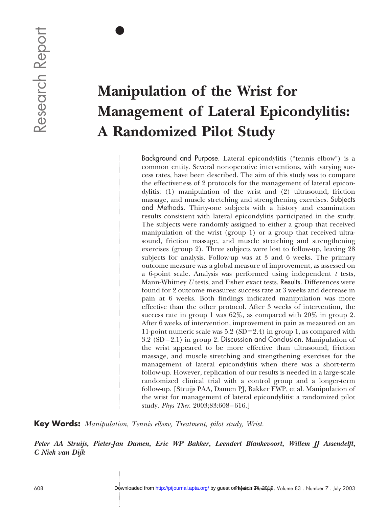$\bullet$ 

# **Manipulation of the Wrist for Management of Lateral Epicondylitis: A Randomized Pilot Study**

Background and Purpose. Lateral epicondylitis ("tennis elbow") is a common entity. Several nonoperative interventions, with varying success rates, have been described. The aim of this study was to compare the effectiveness of 2 protocols for the management of lateral epicondylitis: (1) manipulation of the wrist and (2) ultrasound, friction massage, and muscle stretching and strengthening exercises. Subjects and Methods. Thirty-one subjects with a history and examination results consistent with lateral epicondylitis participated in the study. The subjects were randomly assigned to either a group that received manipulation of the wrist (group 1) or a group that received ultrasound, friction massage, and muscle stretching and strengthening exercises (group 2). Three subjects were lost to follow-up, leaving 28 subjects for analysis. Follow-up was at 3 and 6 weeks. The primary outcome measure was a global measure of improvement, as assessed on a 6-point scale. Analysis was performed using independent *t* tests, Mann-Whitney *U* tests, and Fisher exact tests. Results. Differences were found for 2 outcome measures: success rate at 3 weeks and decrease in pain at 6 weeks. Both findings indicated manipulation was more effective than the other protocol. After 3 weeks of intervention, the success rate in group 1 was 62%, as compared with 20% in group 2. After 6 weeks of intervention, improvement in pain as measured on an 11-point numeric scale was  $5.2$  (SD=2.4) in group 1, as compared with  $3.2$  (SD=2.1) in group 2. Discussion and Conclusion. Manipulation of the wrist appeared to be more effective than ultrasound, friction massage, and muscle stretching and strengthening exercises for the management of lateral epicondylitis when there was a short-term follow-up. However, replication of our results is needed in a large-scale randomized clinical trial with a control group and a longer-term follow-up. [Struijs PAA, Damen PJ, Bakker EWP, et al. Manipulation of the wrist for management of lateral epicondylitis: a randomized pilot study. *Phys Ther*. 2003;83:608–616.] **Manipulation of the Wrist for<br>
Manipulation of the Wrist form and the solution of the Wrist form and the spin of the Study Birls (Number 188 . A Randomized Pilot Study reported relatively in the search and the properties** 

**Key Words:** *Manipulation, Tennis elbow, Treatment, pilot study, Wrist.*

*Peter AA Struijs, Pieter-Jan Damen, Eric WP Bakker, Leendert Blankevoort, Willem JJ Assendelft, C Niek van Dijk*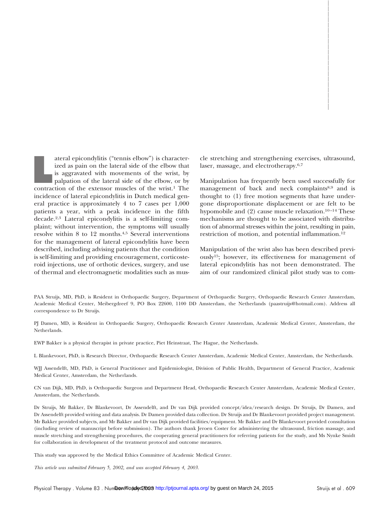ateral epicondylitis ("tennis elbow") is characterized as pain on the lateral side of the elbow that is aggravated with movements of the wrist, by palpation of the lateral side of the elbow, or by contraction of the extens ateral epicondylitis ("tennis elbow") is characterized as pain on the lateral side of the elbow that is aggravated with movements of the wrist, by palpation of the lateral side of the elbow, or by incidence of lateral epicondylitis in Dutch medical general practice is approximately 4 to 7 cases per 1,000 patients a year, with a peak incidence in the fifth decade.2,3 Lateral epicondylitis is a self-limiting complaint; without intervention, the symptoms will usually resolve within 8 to 12 months.4,5 Several interventions for the management of lateral epicondylitis have been described, including advising patients that the condition is self-limiting and providing encouragement, corticosteroid injections, use of orthotic devices, surgery, and use of thermal and electromagnetic modalities such as musaterd spiceauly<br>this Creamic Material Contribute of the wine internal angle and arong<br>the algorithms . Algorithms in the set also that the set also the simulation into ferceival<br>polynthics of the lateral side of the clust

cle stretching and strengthening exercises, ultrasound, laser, massage, and electrotherapy.6,7

Manipulation has frequently been used successfully for management of back and neck complaints<sup>8,9</sup> and is thought to (1) free motion segments that have undergone disproportionate displacement or are felt to be hypomobile and  $(2)$  cause muscle relaxation.<sup>10–14</sup> These mechanisms are thought to be associated with distribution of abnormal stresses within the joint, resulting in pain, restriction of motion, and potential inflammation.12

Manipulation of the wrist also has been described previously15; however, its effectiveness for management of lateral epicondylitis has not been demonstrated. The aim of our randomized clinical pilot study was to com-

PAA Struijs, MD, PhD, is Resident in Orthopaedic Surgery, Department of Orthopaedic Surgery, Orthopaedic Research Center Amsterdam, Academic Medical Center, Meibergdreef 9, PO Box 22600, 1100 DD Amsterdam, the Netherlands (paastruijs@hotmail.com). Address all correspondence to Dr Struijs.

PJ Damen, MD, is Resident in Orthopaedic Surgery, Orthopaedic Research Center Amsterdam, Academic Medical Center, Amsterdam, the Netherlands.

EWP Bakker is a physical therapist in private practice, Piet Heinstraat, The Hague, the Netherlands.

L Blankevoort, PhD, is Research Director, Orthopaedic Research Center Amsterdam, Academic Medical Center, Amsterdam, the Netherlands.

WJJ Assendelft, MD, PhD, is General Practitioner and Epidemiologist, Division of Public Health, Department of General Practice, Academic Medical Center, Amsterdam, the Netherlands.

CN van Dijk, MD, PhD, is Orthopaedic Surgeon and Department Head, Orthopaedic Research Center Amsterdam, Academic Medical Center, Amsterdam, the Netherlands.

Dr Struijs, Mr Bakker, Dr Blankevoort, Dr Assendelft, and Dr van Dijk provided concept/idea/research design. Dr Struijs, Dr Damen, and Dr Assendelft provided writing and data analysis. Dr Damen provided data collection. Dr Struijs and Dr Blankevoort provided project management. Mr Bakker provided subjects, and Mr Bakker and Dr van Dijk provided facilities/equipment. Mr Bakker and Dr Blankevoort provided consultation (including review of manuscript before submission). The authors thank Jeroen Coster for administering the ultrasound, friction massage, and muscle stretching and strengthening procedures, the cooperating general practitioners for referring patients for the study, and Ms Nynke Smidt for collaboration in development of the treatment protocol and outcome measures.

This study was approved by the Medical Ethics Committee of Academic Medical Center.

*This article was submitted February 5, 2002, and was accepted February 4, 2003*.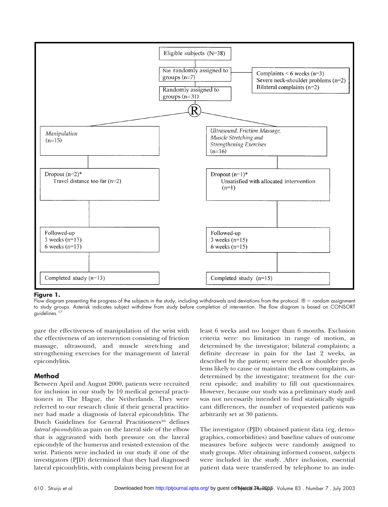

#### **Figure 1.**

Flow diagram presenting the progress of the subjects in the study, including withdrawals and deviations from the protocol.  $\circledast$  = random assignment to study groups. Asterisk indicates subject withdrew from study before completion of intervention. The flow diagram is based on CONSORT guidelines.<sup>17</sup>

pare the effectiveness of manipulation of the wrist with the effectiveness of an intervention consisting of friction massage, ultrasound, and muscle stretching and strengthening exercises for the management of lateral epicondylitis.

# **Method**

Between April and August 2000, patients were recruited for inclusion in our study by 10 medical general practitioners in The Hague, the Netherlands. They were referred to our research clinic if their general practitioner had made a diagnosis of lateral epicondylitis. The Dutch Guidelines for General Practitioners<sup>16</sup> defines *lateral epicondylitis* as pain on the lateral side of the elbow that is aggravated with both pressure on the lateral epicondyle of the humerus and resisted extension of the wrist. Patients were included in our study if one of the investigators (PJD) determined that they had diagnosed lateral epicondylitis, with complaints being present for at least 6 weeks and no longer than 6 months. Exclusion criteria were: no limitation in range of motion, as determined by the investigator; bilateral complaints; a definite decrease in pain for the last 2 weeks, as described by the patient; severe neck or shoulder problems likely to cause or maintain the elbow complaints, as determined by the investigator; treatment for the current episode; and inability to fill out questionnaires. However, because our study was a preliminary study and was not necessarily intended to find statistically significant differences, the number of requested patients was arbitrarily set at 30 patients.

The investigator (PJD) obtained patient data (eg, demographics, comorbidities) and baseline values of outcome measures before subjects were randomly assigned to study groups. After obtaining informed consent, subjects were included in the study. After inclusion, essential patient data were transferred by telephone to an inde-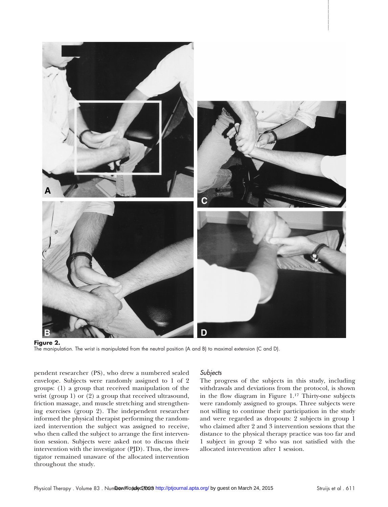

**Figure 2.** The manipulation. The wrist is manipulated from the neutral position (A and B) to maximal extension (C and D).

pendent researcher (PS), who drew a numbered sealed envelope. Subjects were randomly assigned to 1 of 2 groups: (1) a group that received manipulation of the wrist (group 1) or (2) a group that received ultrasound, friction massage, and muscle stretching and strengthening exercises (group 2). The independent researcher informed the physical therapist performing the randomized intervention the subject was assigned to receive, who then called the subject to arrange the first intervention session. Subjects were asked not to discuss their intervention with the investigator (PJD). Thus, the investigator remained unaware of the allocated intervention throughout the study.

#### *Subjects*

The progress of the subjects in this study, including withdrawals and deviations from the protocol, is shown in the flow diagram in Figure 1.17 Thirty-one subjects were randomly assigned to groups. Three subjects were not willing to continue their participation in the study and were regarded as dropouts: 2 subjects in group 1 who claimed after 2 and 3 intervention sessions that the distance to the physical therapy practice was too far and 1 subject in group 2 who was not satisfied with the allocated intervention after 1 session.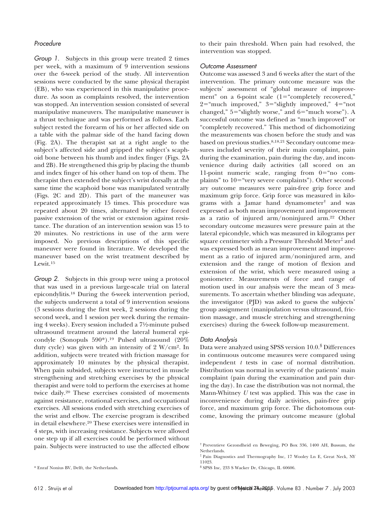# *Procedure*

*Group 1.* Subjects in this group were treated 2 times per week, with a maximum of 9 intervention sessions over the 6-week period of the study. All intervention sessions were conducted by the same physical therapist (EB), who was experienced in this manipulative procedure. As soon as complaints resolved, the intervention was stopped. An intervention session consisted of several manipulative maneuvers. The manipulative maneuver is a thrust technique and was performed as follows. Each subject rested the forearm of his or her affected side on a table with the palmar side of the hand facing down (Fig. 2A). The therapist sat at a right angle to the subject's affected side and gripped the subject's scaphoid bone between his thumb and index finger (Figs. 2A and 2B). He strengthened this grip by placing the thumb and index finger of his other hand on top of them. The therapist then extended the subject's wrist dorsally at the same time the scaphoid bone was manipulated ventrally (Figs. 2C and 2D). This part of the maneuver was repeated approximately 15 times. This procedure was repeated about 20 times, alternated by either forced passive extension of the wrist or extension against resistance. The duration of an intervention session was 15 to 20 minutes. No restrictions in use of the arm were imposed. No previous descriptions of this specific maneuver were found in literature. We developed the maneuver based on the wrist treatment described by Lewit.15

*Group 2.* Subjects in this group were using a protocol that was used in a previous large-scale trial on lateral epicondylitis.18 During the 6-week intervention period, the subjects underwent a total of 9 intervention sessions (3 sessions during the first week, 2 sessions during the second week, and 1 session per week during the remaining 4 weeks). Every session included a 71⁄2-minute pulsed ultrasound treatment around the lateral humeral epicondyle (Sonopuls 590\*).19 Pulsed ultrasound (20% duty cycle) was given with an intensity of  $2 W/cm^2$ . In addition, subjects were treated with friction massage for approximately 10 minutes by the physical therapist. When pain subsided, subjects were instructed in muscle strengthening and stretching exercises by the physical therapist and were told to perform the exercises at home twice daily.20 These exercises consisted of movements against resistance, rotational exercises, and occupational exercises. All sessions ended with stretching exercises of the wrist and elbow. The exercise program is described in detail elsewhere.20 These exercises were intensified in 4 steps, with increasing resistance. Subjects were allowed one step up if all exercises could be performed without pain. Subjects were instructed to use the affected elbow

\* Enraf Nonius BV, Delft, the Netherlands.

to their pain threshold. When pain had resolved, the intervention was stopped.

## *Outcome Assessment*

Outcome was assessed 3 and 6 weeks after the start of the intervention. The primary outcome measure was the subjects' assessment of "global measure of improvement" on a 6-point scale  $(1="math>-completely recovered,"$  $2 = \text{``much improved''}$  3= "slightly improved,"  $4 = \text{``not}$ changed,"  $5$ ="slightly worse," and  $6$ ="much worse"). A successful outcome was defined as "much improved" or "completely recovered." This method of dichomotizing the measurements was chosen before the study and was based on previous studies.<sup>8,18,21</sup> Secondary outcome measures included severity of their main complaint, pain during the examination, pain during the day, and inconvenience during daily activities (all scored on an 11-point numeric scale, ranging from  $0 =$ "no complaints" to  $10$ ="very severe complaints"). Other secondary outcome measures were pain-free grip force and maximum grip force. Grip force was measured in kilograms with a Jamar hand dynamometer† and was expressed as both mean improvement and improvement as a ratio of injured arm/noninjured arm.22 Other secondary outcome measures were pressure pain at the lateral epicondyle, which was measured in kilograms per square centimeter with a Pressure Threshold Meter‡ and was expressed both as mean improvement and improvement as a ratio of injured arm/noninjured arm, and extension and the range of motion of flexion and extension of the wrist, which were measured using a goniometer. Measurements of force and range of motion used in our analysis were the mean of 3 measurements. To ascertain whether blinding was adequate, the investigator (PJD) was asked to guess the subjects' group assignment (manipulation versus ultrasound, friction massage, and muscle stretching and strengthening exercises) during the 6-week follow-up measurement.

# *Data Analysis*

Data were analyzed using SPSS version 10.0.§ Differences in continuous outcome measures were compared using independent *t* tests in case of normal distribution. Distribution was normal in severity of the patients' main complaint (pain during the examination and pain during the day). In case the distribution was not normal, the Mann-Whitney *U* test was applied. This was the case in inconvenience during daily activities, pain-free grip force, and maximum grip force. The dichotomous outcome, knowing the primary outcome measure (global

<sup>†</sup> Preventieve Gezondheid en Beweging, PO Box 336, 1400 AH, Bussum, the **Netherlands** 

<sup>‡</sup> Pain Diagnostics and Thermography Inc, 17 Wooley Ln E, Great Neck, NY 11023.

<sup>§</sup> SPSS Inc, 233 S Wacker Dr, Chicago, IL 60606.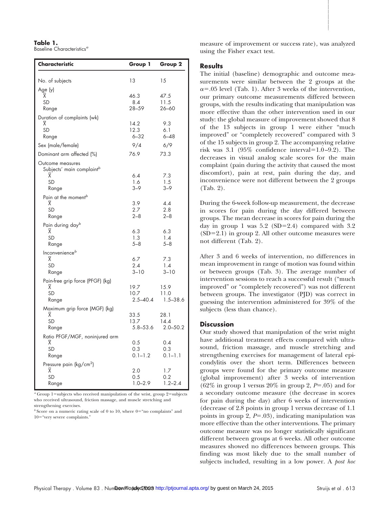**Table 1.**

| No. of subjects<br>Age (y)<br>SD<br>Range<br>Duration of complaints (wk)<br>$\overline{X}$<br>SD<br>Range<br>Sex (male/female)<br>Dominant arm affected (%)<br>Outcome measures<br>Subjects' main complaint <sup>b</sup> | 13<br>46.3<br>8.4<br>$28 - 59$<br>14.2<br>12.3<br>$6 - 32$<br>9/4 | 15<br>47.5<br>11.5<br>$26 - 60$<br>9.3<br>6.1 | The initial (baseline) demographic and outcome mea-<br>surements were similar between the 2 groups at the<br>$\alpha$ =.05 level (Tab. 1). After 3 weeks of the intervention,<br>our primary outcome measurements differed between<br>groups, with the results indicating that manipulation was<br>more effective than the other intervention used in our                                                               |
|--------------------------------------------------------------------------------------------------------------------------------------------------------------------------------------------------------------------------|-------------------------------------------------------------------|-----------------------------------------------|-------------------------------------------------------------------------------------------------------------------------------------------------------------------------------------------------------------------------------------------------------------------------------------------------------------------------------------------------------------------------------------------------------------------------|
|                                                                                                                                                                                                                          |                                                                   |                                               |                                                                                                                                                                                                                                                                                                                                                                                                                         |
|                                                                                                                                                                                                                          |                                                                   |                                               |                                                                                                                                                                                                                                                                                                                                                                                                                         |
|                                                                                                                                                                                                                          |                                                                   |                                               |                                                                                                                                                                                                                                                                                                                                                                                                                         |
|                                                                                                                                                                                                                          |                                                                   |                                               |                                                                                                                                                                                                                                                                                                                                                                                                                         |
|                                                                                                                                                                                                                          |                                                                   |                                               |                                                                                                                                                                                                                                                                                                                                                                                                                         |
|                                                                                                                                                                                                                          |                                                                   |                                               | study: the global measure of improvement showed that 8                                                                                                                                                                                                                                                                                                                                                                  |
|                                                                                                                                                                                                                          |                                                                   |                                               | of the 13 subjects in group 1 were either "much                                                                                                                                                                                                                                                                                                                                                                         |
|                                                                                                                                                                                                                          |                                                                   | $6 - 48$                                      | improved" or "completely recovered" compared with 3                                                                                                                                                                                                                                                                                                                                                                     |
|                                                                                                                                                                                                                          |                                                                   | 6/9                                           | of the 15 subjects in group 2. The accompanying relative                                                                                                                                                                                                                                                                                                                                                                |
|                                                                                                                                                                                                                          | 76.9                                                              | 73.3                                          | risk was $3.1$ (95% confidence interval= $1.0-9.2$ ). The                                                                                                                                                                                                                                                                                                                                                               |
|                                                                                                                                                                                                                          |                                                                   |                                               | decreases in visual analog scale scores for the main<br>complaint (pain during the activity that caused the most                                                                                                                                                                                                                                                                                                        |
|                                                                                                                                                                                                                          |                                                                   |                                               | discomfort), pain at rest, pain during the day, and                                                                                                                                                                                                                                                                                                                                                                     |
| Χ<br>SD                                                                                                                                                                                                                  | 6.4<br>1.6                                                        | 7.3<br>1.5                                    | inconvenience were not different between the 2 groups                                                                                                                                                                                                                                                                                                                                                                   |
| Range                                                                                                                                                                                                                    | $3 - 9$                                                           | $3 - 9$                                       | (Tab. 2).                                                                                                                                                                                                                                                                                                                                                                                                               |
| Pain at the moment <sup>b</sup>                                                                                                                                                                                          |                                                                   |                                               |                                                                                                                                                                                                                                                                                                                                                                                                                         |
| Χ                                                                                                                                                                                                                        | 3.9                                                               | 4.4                                           | During the 6-week follow-up measurement, the decrease                                                                                                                                                                                                                                                                                                                                                                   |
| SD<br>Range                                                                                                                                                                                                              | 2.7<br>$2 - 8$                                                    | 2.8<br>$2 - 8$                                | in scores for pain during the day differed between                                                                                                                                                                                                                                                                                                                                                                      |
| Pain during day <sup>b</sup>                                                                                                                                                                                             |                                                                   |                                               | groups. The mean decrease in scores for pain during the<br>day in group 1 was $5.2$ (SD=2.4) compared with 3.2                                                                                                                                                                                                                                                                                                          |
| Χ                                                                                                                                                                                                                        | 6.3                                                               | 6.3                                           | $(SD=2.1)$ in group 2. All other outcome measures were                                                                                                                                                                                                                                                                                                                                                                  |
| SD                                                                                                                                                                                                                       | 1.3                                                               | 1.4                                           | not different (Tab. 2).                                                                                                                                                                                                                                                                                                                                                                                                 |
| Range                                                                                                                                                                                                                    | $5 - 8$                                                           | $5 - 8$                                       |                                                                                                                                                                                                                                                                                                                                                                                                                         |
| Inconvenience $^b$<br>$\overline{\mathsf{X}}$                                                                                                                                                                            | 6.7                                                               | 7.3                                           | After 3 and 6 weeks of intervention, no differences in                                                                                                                                                                                                                                                                                                                                                                  |
| SD                                                                                                                                                                                                                       | 2.4                                                               | 1.4                                           | mean improvement in range of motion was found within                                                                                                                                                                                                                                                                                                                                                                    |
| Range                                                                                                                                                                                                                    | $3 - 10$                                                          | $3 - 10$                                      | or between groups (Tab. 3). The average number of                                                                                                                                                                                                                                                                                                                                                                       |
| Pain-free grip force (PFGF) (kg)                                                                                                                                                                                         |                                                                   |                                               | intervention sessions to reach a successful result ("much                                                                                                                                                                                                                                                                                                                                                               |
| $\overline{\chi}$<br>SD                                                                                                                                                                                                  | 19.7<br>10.7                                                      | 15.9<br>11.0                                  | improved" or "completely recovered") was not different                                                                                                                                                                                                                                                                                                                                                                  |
| Range                                                                                                                                                                                                                    | $2.5 - 40.4$                                                      | $1.5 - 38.6$                                  | between groups. The investigator (PJD) was correct in<br>guessing the intervention administered for 39% of the                                                                                                                                                                                                                                                                                                          |
| Maximum grip force (MGF) (kg)                                                                                                                                                                                            |                                                                   |                                               | subjects (less than chance).                                                                                                                                                                                                                                                                                                                                                                                            |
| х                                                                                                                                                                                                                        | 33.5                                                              | 28.1                                          |                                                                                                                                                                                                                                                                                                                                                                                                                         |
| SD                                                                                                                                                                                                                       | 13.7<br>$5.8 - 53.6$                                              | 14.4<br>$2.0 - 50.2$                          | <b>Discussion</b>                                                                                                                                                                                                                                                                                                                                                                                                       |
| Range                                                                                                                                                                                                                    |                                                                   |                                               | Our study showed that manipulation of the wrist might                                                                                                                                                                                                                                                                                                                                                                   |
| Ratio PFGF/MGF, noninjured arm<br>X                                                                                                                                                                                      | 0.5                                                               | 0.4                                           | have additional treatment effects compared with ultra-                                                                                                                                                                                                                                                                                                                                                                  |
| SD                                                                                                                                                                                                                       | 0.3                                                               | 0.3                                           | sound, friction massage, and muscle stretching and                                                                                                                                                                                                                                                                                                                                                                      |
| Range                                                                                                                                                                                                                    | $0.1 - 1.2$                                                       | $0.1 - 1.1$                                   | strengthening exercises for management of lateral epi-                                                                                                                                                                                                                                                                                                                                                                  |
| Pressure pain ( $\text{kg/cm}^2$ )                                                                                                                                                                                       |                                                                   |                                               | condylitis over the short term. Differences between                                                                                                                                                                                                                                                                                                                                                                     |
| χ                                                                                                                                                                                                                        | 2.0                                                               | 1.7                                           | groups were found for the primary outcome measure                                                                                                                                                                                                                                                                                                                                                                       |
| Range                                                                                                                                                                                                                    | $1.0 - 2.9$                                                       | $1.2 - 2.4$                                   |                                                                                                                                                                                                                                                                                                                                                                                                                         |
| SD<br>" Group 1=subjects who received manipulation of the wrist, group 2=subjects<br>who received ultrasound, friction massage, and muscle stretching and<br>strengthening exercises.                                    | 0.5                                                               | 0.2                                           | (global improvement) after 3 weeks of intervention<br>$(62\% \text{ in group } 1 \text{ versus } 20\% \text{ in group } 2, P = .05)$ and for<br>a secondary outcome measure (the decrease in scores<br>for pain during the day) after 6 weeks of intervention                                                                                                                                                           |
| $\delta$ Score on a numeric rating scale of 0 to 10, where 0= "no complaints" and<br>$10$ = "very severe complaints."                                                                                                    |                                                                   |                                               | (decrease of 2.8 points in group 1 versus decrease of 1.1)<br>points in group 2, $P = .03$ ), indicating manipulation was<br>more effective than the other interventions. The primary<br>outcome measure was no longer statistically significant<br>different between groups at 6 weeks. All other outcome<br>measures showed no differences between groups. This<br>finding was most likely due to the small number of |

# **Results**

# **Discussion**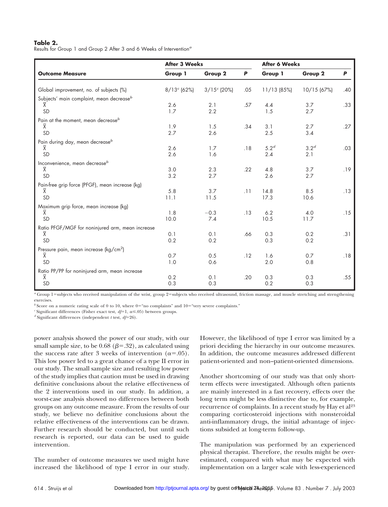#### **Table 2.**

Results for Group 1 and Group 2 After 3 and 6 Weeks of Intervention*<sup>a</sup>*

|                                                                       | <b>After 3 Weeks</b> |                           |     | <b>After 6 Weeks</b> |                    |     |
|-----------------------------------------------------------------------|----------------------|---------------------------|-----|----------------------|--------------------|-----|
| <b>Outcome Measure</b>                                                | Group 1              | Group <sub>2</sub>        | P   | Group 1              | Group <sub>2</sub> | P   |
| Global improvement, no. of subjects (%)                               | $8/13^c$ (62%)       | $3/15$ <sup>c</sup> (20%) | .05 | 11/13 (85%)          | 10/15 (67%)        | .40 |
| Subjects' main complaint, mean decrease <sup>b</sup>                  |                      |                           |     |                      |                    |     |
| X<br>SD                                                               | 2.6<br>1.7           | 2.1<br>2.2                | .57 | 4.4<br>1.5           | 3.7<br>2.7         | .33 |
| Pain at the moment, mean decrease <sup>b</sup>                        |                      |                           |     |                      |                    |     |
| $\overline{X}$<br>SD                                                  | 1.9<br>2.7           | 1.5<br>2.6                | .34 | 3.1<br>2.5           | 2.7<br>3.4         | .27 |
| Pain during day, mean decrease <sup>b</sup>                           |                      |                           |     |                      |                    |     |
| X<br>SD                                                               | 2.6<br>2.6           | 1.7<br>1.6                | .18 | $5.2^{d}$<br>2.4     | $3.2^{d}$<br>2.1   | .03 |
| Inconvenience, mean decrease <sup>b</sup>                             |                      |                           |     |                      |                    |     |
| $\overline{X}$<br><b>SD</b>                                           | 3.0<br>3.2           | 2.3<br>2.7                | .22 | 4.8<br>2.6           | 3.7<br>2.7         | .19 |
| Pain-free grip force (PFGF), mean increase (kg)                       |                      |                           |     |                      |                    |     |
| $\overline{X}$                                                        | 5.8                  | 3.7                       | .11 | 14.8                 | 8.5                | .13 |
| SD                                                                    | 11.1                 | 11.5                      |     | 17.3                 | 10.6               |     |
| Maximum grip force, mean increase (kg)                                |                      |                           |     |                      |                    |     |
| $\overline{\mathsf{X}}$                                               | 1.8                  | $-0.3$                    | .13 | 6.2                  | 4.0                | .15 |
| SD                                                                    | 10.0                 | 7.4                       |     | 10.5                 | 11.7               |     |
| Ratio PFGF/MGF for noninjured arm, mean increase<br>$\overline{\chi}$ |                      |                           |     |                      |                    |     |
| <b>SD</b>                                                             | 0.1<br>0.2           | 0.1<br>0.2                | .66 | 0.3<br>0.3           | 0.2<br>0.2         | .31 |
| Pressure pain, mean increase (kg/cm <sup>2</sup> )                    |                      |                           |     |                      |                    |     |
| $\overline{\chi}$                                                     | 0.7                  | 0.5                       | .12 | 1.6                  | 0.7                | .18 |
| <b>SD</b>                                                             | 1.0                  | 0.6                       |     | 2.0                  | 0.8                |     |
| Ratio PP/PP for noninjured arm, mean increase                         |                      |                           |     |                      |                    |     |
| $\overline{X}$                                                        | 0.2                  | 0.1                       | .20 | 0.3                  | 0.3                | .55 |
| $\mathsf{SD}$                                                         | 0.3                  | 0.3                       |     | 0.2                  | 0.3                |     |

*a* Group 1=subjects who received manipulation of the wrist, group 2=subjects who received ultrasound, friction massage, and muscle stretching and strengthening exercises.

*b* Score on a numeric rating scale of 0 to 10, where  $0$ = "no complaints" and  $10$ = "very severe complaints."

<sup>*c*</sup> Significant differences (Fisher exact test,  $df=1$ ,  $\alpha \leq .05$ ) between groups.

 $d$  Significant differences (independent *t* test,  $df=26$ ).

power analysis showed the power of our study, with our small sample size, to be  $0.68$  ( $\beta$ =.32), as calculated using the success rate after 3 weeks of intervention ( $\alpha$ =.05). This low power led to a great chance of a type II error in our study. The small sample size and resulting low power of the study implies that caution must be used in drawing definitive conclusions about the relative effectiveness of the 2 interventions used in our study. In addition, a worst-case analysis showed no differences between both groups on any outcome measure. From the results of our study, we believe no definitive conclusions about the relative effectiveness of the interventions can be drawn. Further research should be conducted, but until such research is reported, our data can be used to guide intervention.

The number of outcome measures we used might have increased the likelihood of type I error in our study. However, the likelihood of type I error was limited by a priori deciding the hierarchy in our outcome measures. In addition, the outcome measures addressed different patient-oriented and non–patient-oriented dimensions.

Another shortcoming of our study was that only shortterm effects were investigated. Although often patients are mainly interested in a fast recovery, effects over the long term might be less distinctive due to, for example, recurrence of complaints. In a recent study by Hay et al<sup>23</sup> comparing corticosteroid injections with nonsteroidal anti-inflammatory drugs, the initial advantage of injections subsided at long-term follow-up.

The manipulation was performed by an experienced physical therapist. Therefore, the results might be overestimated, compared with what may be expected with implementation on a larger scale with less-experienced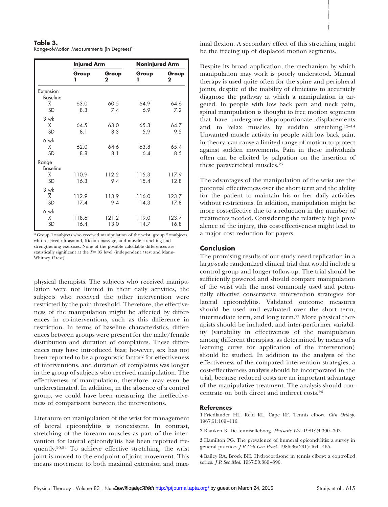#### **Table 3.**

|                                            | <b>Injured Arm</b> |               | <b>Noninjured Arm</b>                                                                                                                                                                                                                                                                                                                                                                                                                                                                                                                                                                                                     |            |
|--------------------------------------------|--------------------|---------------|---------------------------------------------------------------------------------------------------------------------------------------------------------------------------------------------------------------------------------------------------------------------------------------------------------------------------------------------------------------------------------------------------------------------------------------------------------------------------------------------------------------------------------------------------------------------------------------------------------------------------|------------|
|                                            | Group              | Group<br>2    | Group<br>ı.                                                                                                                                                                                                                                                                                                                                                                                                                                                                                                                                                                                                               | Group<br>2 |
| Extension<br><b>Baseline</b>               |                    |               |                                                                                                                                                                                                                                                                                                                                                                                                                                                                                                                                                                                                                           |            |
| Χ                                          | 63.0               | 60.5          | 64.9                                                                                                                                                                                                                                                                                                                                                                                                                                                                                                                                                                                                                      | 64.6       |
| <b>SD</b>                                  | 8.3                | 7.4           | 6.9                                                                                                                                                                                                                                                                                                                                                                                                                                                                                                                                                                                                                       | 7.2        |
| 3 wk<br>$\overline{X}$                     | 64.5               | 63.0          | 65.3                                                                                                                                                                                                                                                                                                                                                                                                                                                                                                                                                                                                                      | 64.7       |
| SD                                         | 8.1                | 8.3           | 5.9                                                                                                                                                                                                                                                                                                                                                                                                                                                                                                                                                                                                                       | 9.5        |
| 6 wk<br>$\overline{X}$                     | 62.0               | 64.6          | 63.8                                                                                                                                                                                                                                                                                                                                                                                                                                                                                                                                                                                                                      | 65.4       |
| SD                                         | 8.8                | 8.1           | 6.4                                                                                                                                                                                                                                                                                                                                                                                                                                                                                                                                                                                                                       | 8.5        |
| Range                                      |                    |               |                                                                                                                                                                                                                                                                                                                                                                                                                                                                                                                                                                                                                           |            |
| <b>Baseline</b><br>$\overline{\chi}$       | 110.9              | 112.2         | 115.3                                                                                                                                                                                                                                                                                                                                                                                                                                                                                                                                                                                                                     | 117.9      |
| SD                                         | 16.3               | 9.4           | 15.4                                                                                                                                                                                                                                                                                                                                                                                                                                                                                                                                                                                                                      | 12.8       |
| 3 wk<br>$\overline{\chi}$                  | 112.9              | 113.9         | 116.0                                                                                                                                                                                                                                                                                                                                                                                                                                                                                                                                                                                                                     | 123.7      |
| SD                                         | 17.4               | 9.4           | 14.3                                                                                                                                                                                                                                                                                                                                                                                                                                                                                                                                                                                                                      | 17.8       |
| 6 wk                                       |                    |               |                                                                                                                                                                                                                                                                                                                                                                                                                                                                                                                                                                                                                           |            |
|                                            |                    |               | 119.0                                                                                                                                                                                                                                                                                                                                                                                                                                                                                                                                                                                                                     | 123.7      |
| $\overline{X}$<br>SD<br>Whitney $U$ test). | 118.6<br>16.4      | 121.2<br>13.0 | 14.7<br>" Group 1=subjects who received manipulation of the wrist, group 2=subjects<br>who received ultrasound, friction massage, and muscle stretching and<br>strengthening exercises. None of the possible calculable differences are<br>statistically significant at the $P=0.05$ level (independent t test and Mann-<br>physical therapists. The subjects who received manipu-<br>lation were not limited in their daily activities, the<br>subjects who received the other intervention were<br>restricted by the pain threshold. Therefore, the effective-<br>ness of the manipulation might be affected by differ- | 16.8       |
|                                            |                    |               | ences in co-interventions, such as this difference in<br>restriction. In terms of baseline characteristics, differ-<br>ences between groups were present for the male/female<br>distribution and duration of complaints. These differ-<br>ences may have introduced bias; however, sex has not<br>been reported to be a prognostic factor <sup>2</sup> for effectiveness<br>of interventions. and duration of complaints was longer<br>in the group of subjects who received manipulation. The                                                                                                                            |            |
|                                            |                    |               | effectiveness of manipulation, therefore, may even be<br>underestimated. In addition, in the absence of a control<br>group, we could have been measuring the ineffective-<br>ness of comparisons between the interventions.                                                                                                                                                                                                                                                                                                                                                                                               |            |
|                                            |                    |               | Literature on manipulation of the wrist for management                                                                                                                                                                                                                                                                                                                                                                                                                                                                                                                                                                    |            |
|                                            |                    |               | of lateral epicondylitis is nonexistent. In contrast,<br>stretching of the forearm muscles as part of the inter-                                                                                                                                                                                                                                                                                                                                                                                                                                                                                                          |            |
|                                            |                    |               | vention for lateral epicondylitis has been reported fre-<br>quently. <sup>20,24</sup> To achieve effective stretching, the wrist<br>joint is moved to the endpoint of joint movement. This                                                                                                                                                                                                                                                                                                                                                                                                                                |            |

### **Conclusion**

#### **References**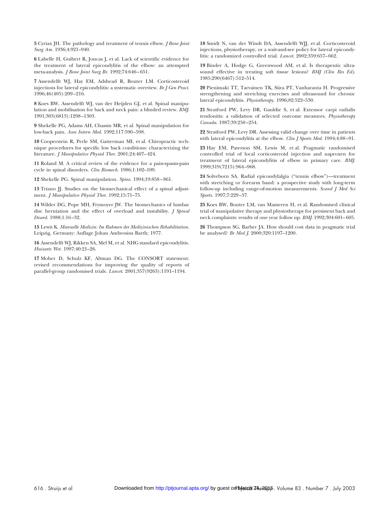**5** Cyriax JH. The pathology and treatment of tennis elbow. *J Bone Joint Surg Am*. 1936;4:921–940.

**6** Labelle H, Guibert R, Joncas J, et al. Lack of scientific evidence for the treatment of lateral epicondylitis of the elbow: an attempted meta-analysis. *J Bone Joint Surg Br*. 1992;74:646–651.

**7** Assendelft WJ, Hay EM, Adshead R, Bouter LM. Corticosteroid injections for lateral epicondylitis: a systematic overview. *Br J Gen Pract*. 1996;46(405):209–216.

**8** Koes BW, Assendelft WJ, van der Heijden GJ, et al. Spinal manipulation and mobilisation for back and neck pain: a blinded review. *BMJ*. 1991;303(6813):1298–1303.

**9** Shekelle PG, Adams AH, Chassin MR, et al. Spinal manipulation for low-back pain. *Ann Intern Med*. 1992;117:590–598.

**10** Cooperstein R, Perle SM, Gatterman MI, et al. Chiropractic technique procedures for specific low back conditions: characterizing the literature. *J Manipulative Physiol Ther*. 2001;24:407–424.

**11** Roland M. A critical review of the evidence for a pain-spasm-pain cycle in spinal disorders. *Clin Biomech*. 1986;1:102–109.

**12** Shekelle PG. Spinal manipulation. *Spine*. 1994;19:858–861.

**13** Triano JJ. Studies on the biomechanical effect of a spinal adjustment. *J Manipulative Physiol Ther*. 1992;15:71–75.

**14** Wilder DG, Pope MH, Frymoyer JW. The biomechanics of lumbar disc herniation and the effect of overload and instability. *J Spinal Disord*. 1988;1:16–32.

**15** Lewit K. *Manuelle Medizin: Im Rahmen der Medizinischen Rehabilitation*. Leipzig, Germany: Auflage Johan Ambrosius Barth; 1977.

**16** Assendelft WJ, Rikken SA, Mel M, et al. NHG standard epicondylitis. *Huisarts Wet.* 1997;40:21–26.

**17** Moher D, Schulz KF, Altman DG. The CONSORT statement: revised recommendations for improving the quality of reports of parallel-group randomised trials. *Lancet*. 2001;357(9263):1191–1194.

**18** Smidt N, van der Windt DA, Assendelft WJJ, et al. Corticosteroid injections, physiotherapy, or a wait-and-see policy for lateral epicondylitis: a randomized controlled trial. *Lancet*. 2002;359:657–662.

**19** Binder A, Hodge G, Greenwood AM, et al. Is therapeutic ultrasound effective in treating soft tissue lesions? *BMJ (Clin Res Ed)*. 1985;290(6467):512–514.

**20** Pienimaki TT, Tarvainen TK, Siira PT, Vanharanta H. Progressive strengthening and stretching exercises and ultrasound for chronic lateral epicondylitis. *Physiotherapy.* 1996;82:522–530.

**21** Stratford PW, Levy DR, Gauldie S, et al. Extensor carpi radialis tendonitis: a validation of selected outcome measures. *Physiotherapy Canada*. 1987;39:250–254.

**22** Stratford PW, Levy DR. Assessing valid change over time in patients with lateral epicondylitis at the elbow. *Clin J Sports Med*. 1994;4:88–91.

**23** Hay EM, Paterson SM, Lewis M, et al. Pragmatic randomised controlled trial of local corticosteroid injection and naproxen for treatment of lateral epicondylitis of elbow in primary care. *BMJ*. 1999;319(7215):964–968.

**24** Solveborn SA. Radial epicondylalgia ("tennis elbow")—treatment with stretching or forearm band: a prospective study with long-term follow-up including range-of-motion measurements. *Scand J Med Sci Sports*. 1997;7:229–37.

**25** Koes BW, Bouter LM, van Mameren H, et al. Randomised clinical trial of manipulative therapy and physiotherapy for persistent back and neck complaints: results of one year follow up. *BMJ*. 1992;304:601–605.

**26** Thompson SG, Barber JA. How should cost data in pragmatic trial be analysed? *Br Med J*. 2000;320:1197–1200.